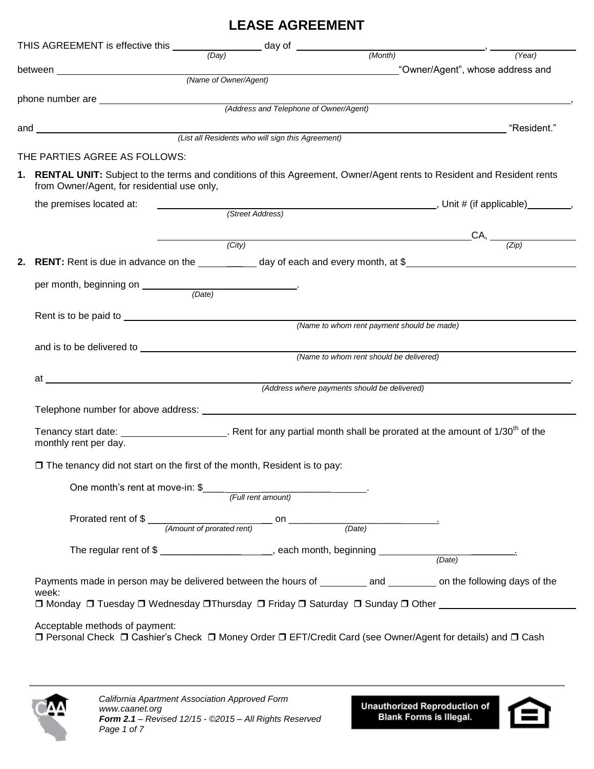## **LEASE AGREEMENT**

| THIS AGREEMENT is effective this $\frac{1}{(Day)}$ day of $\frac{1}{(Month)}$                                                                                                                                                                                                             |                  |                                        |                                              |                                                                                                      |  |  |
|-------------------------------------------------------------------------------------------------------------------------------------------------------------------------------------------------------------------------------------------------------------------------------------------|------------------|----------------------------------------|----------------------------------------------|------------------------------------------------------------------------------------------------------|--|--|
|                                                                                                                                                                                                                                                                                           |                  |                                        |                                              | (Year)                                                                                               |  |  |
| between ___________________________                                                                                                                                                                                                                                                       |                  | (Name of Owner/Agent)                  |                                              | "Owner/Agent", whose address and                                                                     |  |  |
|                                                                                                                                                                                                                                                                                           |                  |                                        |                                              |                                                                                                      |  |  |
|                                                                                                                                                                                                                                                                                           |                  | (Address and Telephone of Owner/Agent) |                                              |                                                                                                      |  |  |
| and <u>entitled</u> and the same of the same of the same of the same of the same of the same of the same of the same of the same of the same of the same of the same of the same of the same of the same of the same of the same of                                                       |                  |                                        |                                              | "Resident." (California de la contrata de la contrata de la contrata de la contrata de la contrata d |  |  |
|                                                                                                                                                                                                                                                                                           |                  |                                        |                                              |                                                                                                      |  |  |
| THE PARTIES AGREE AS FOLLOWS:                                                                                                                                                                                                                                                             |                  |                                        |                                              |                                                                                                      |  |  |
| 1. RENTAL UNIT: Subject to the terms and conditions of this Agreement, Owner/Agent rents to Resident and Resident rents<br>from Owner/Agent, for residential use only,                                                                                                                    |                  |                                        |                                              |                                                                                                      |  |  |
| the premises located at:                                                                                                                                                                                                                                                                  | (Street Address) |                                        |                                              |                                                                                                      |  |  |
|                                                                                                                                                                                                                                                                                           |                  |                                        |                                              |                                                                                                      |  |  |
|                                                                                                                                                                                                                                                                                           |                  |                                        | (City)                                       | $\_CA$ , $\frac{Zip}{)}$                                                                             |  |  |
|                                                                                                                                                                                                                                                                                           |                  |                                        |                                              |                                                                                                      |  |  |
| 2. RENT: Rent is due in advance on the __________ day of each and every month, at \$_______________________                                                                                                                                                                               |                  |                                        |                                              |                                                                                                      |  |  |
|                                                                                                                                                                                                                                                                                           |                  |                                        |                                              |                                                                                                      |  |  |
|                                                                                                                                                                                                                                                                                           | (Date)           |                                        |                                              |                                                                                                      |  |  |
|                                                                                                                                                                                                                                                                                           |                  |                                        |                                              |                                                                                                      |  |  |
|                                                                                                                                                                                                                                                                                           |                  |                                        | (Name to whom rent payment should be made)   |                                                                                                      |  |  |
|                                                                                                                                                                                                                                                                                           |                  |                                        |                                              |                                                                                                      |  |  |
|                                                                                                                                                                                                                                                                                           |                  |                                        | (Name to whom rent should be delivered)      |                                                                                                      |  |  |
|                                                                                                                                                                                                                                                                                           |                  |                                        | (Address where payments should be delivered) |                                                                                                      |  |  |
|                                                                                                                                                                                                                                                                                           |                  |                                        |                                              |                                                                                                      |  |  |
|                                                                                                                                                                                                                                                                                           |                  |                                        |                                              |                                                                                                      |  |  |
| Tenancy start date: $\frac{1}{30}$ CM $\frac{1}{30}$ CM $\frac{1}{30}$ CM $\frac{1}{30}$ CM $\frac{1}{30}$ CM $\frac{1}{30}$ CM $\frac{1}{30}$ CM $\frac{1}{30}$ CM $\frac{1}{30}$ CM $\frac{1}{30}$ CM $\frac{1}{30}$ CM $\frac{1}{30}$ CM $\frac{1}{30}$ CM $\frac{1}{30}$ CM $\frac{1$ |                  |                                        |                                              |                                                                                                      |  |  |
| monthly rent per day.                                                                                                                                                                                                                                                                     |                  |                                        |                                              |                                                                                                      |  |  |
| $\Box$ The tenancy did not start on the first of the month, Resident is to pay:                                                                                                                                                                                                           |                  |                                        |                                              |                                                                                                      |  |  |
|                                                                                                                                                                                                                                                                                           |                  |                                        |                                              |                                                                                                      |  |  |
|                                                                                                                                                                                                                                                                                           |                  |                                        |                                              |                                                                                                      |  |  |
|                                                                                                                                                                                                                                                                                           |                  |                                        |                                              |                                                                                                      |  |  |
|                                                                                                                                                                                                                                                                                           |                  |                                        |                                              |                                                                                                      |  |  |
|                                                                                                                                                                                                                                                                                           |                  |                                        |                                              |                                                                                                      |  |  |
|                                                                                                                                                                                                                                                                                           |                  |                                        |                                              |                                                                                                      |  |  |
| Payments made in person may be delivered between the hours of ________ and ________ on the following days of the<br>week:                                                                                                                                                                 |                  |                                        |                                              |                                                                                                      |  |  |
|                                                                                                                                                                                                                                                                                           |                  |                                        |                                              | □ Monday □ Tuesday □ Wednesday □ Thursday □ Friday □ Saturday □ Sunday □ Other                       |  |  |



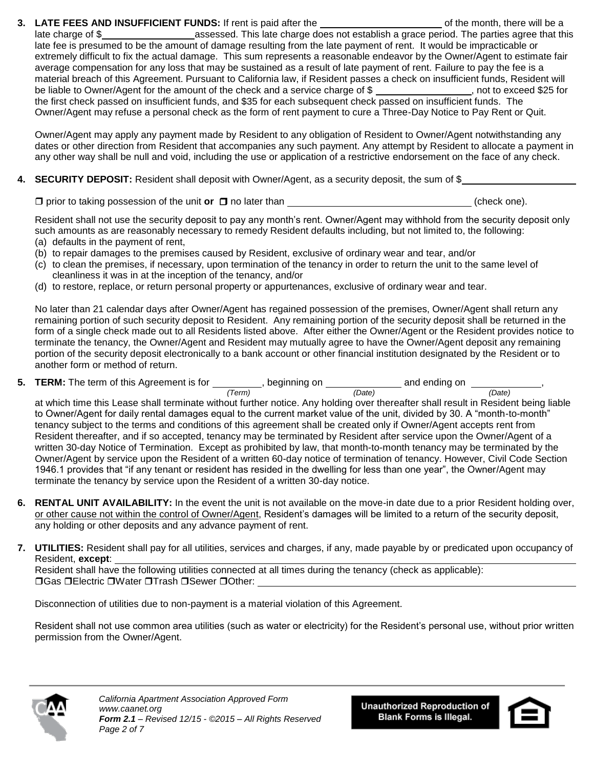**3. LATE FEES AND INSUFFICIENT FUNDS:** If rent is paid after the order of the month, there will be a late charge of \$ assessed. This late charge does not establish a grace period. The parties agree that this late fee is presumed to be the amount of damage resulting from the late payment of rent. It would be impracticable or extremely difficult to fix the actual damage. This sum represents a reasonable endeavor by the Owner/Agent to estimate fair average compensation for any loss that may be sustained as a result of late payment of rent. Failure to pay the fee is a material breach of this Agreement. Pursuant to California law, if Resident passes a check on insufficient funds, Resident will be liable to Owner/Agent for the amount of the check and a service charge of \$ , not to exceed \$25 for the first check passed on insufficient funds, and \$35 for each subsequent check passed on insufficient funds. The Owner/Agent may refuse a personal check as the form of rent payment to cure a Three-Day Notice to Pay Rent or Quit.

Owner/Agent may apply any payment made by Resident to any obligation of Resident to Owner/Agent notwithstanding any dates or other direction from Resident that accompanies any such payment. Any attempt by Resident to allocate a payment in any other way shall be null and void, including the use or application of a restrictive endorsement on the face of any check.

**4. SECURITY DEPOSIT:** Resident shall deposit with Owner/Agent, as a security deposit, the sum of \$

 $\Box$  prior to taking possession of the unit **or**  $\Box$  no later than (check one). (check one).

Resident shall not use the security deposit to pay any month's rent. Owner/Agent may withhold from the security deposit only such amounts as are reasonably necessary to remedy Resident defaults including, but not limited to, the following:

- (a) defaults in the payment of rent,
- (b) to repair damages to the premises caused by Resident, exclusive of ordinary wear and tear, and/or
- (c) to clean the premises, if necessary, upon termination of the tenancy in order to return the unit to the same level of cleanliness it was in at the inception of the tenancy, and/or
- (d) to restore, replace, or return personal property or appurtenances, exclusive of ordinary wear and tear.

No later than 21 calendar days after Owner/Agent has regained possession of the premises, Owner/Agent shall return any remaining portion of such security deposit to Resident. Any remaining portion of the security deposit shall be returned in the form of a single check made out to all Residents listed above. After either the Owner/Agent or the Resident provides notice to terminate the tenancy, the Owner/Agent and Resident may mutually agree to have the Owner/Agent deposit any remaining portion of the security deposit electronically to a bank account or other financial institution designated by the Resident or to another form or method of return.

**5. TERM:** The term of this Agreement is for \_\_\_\_\_\_\_\_\_, beginning on \_\_\_\_\_\_\_\_\_\_\_\_\_ and ending on \_\_\_\_\_\_\_\_\_\_\_,

 *(Term) (Date) (Date)* at which time this Lease shall terminate without further notice. Any holding over thereafter shall result in Resident being liable to Owner/Agent for daily rental damages equal to the current market value of the unit, divided by 30. A "month-to-month" tenancy subject to the terms and conditions of this agreement shall be created only if Owner/Agent accepts rent from Resident thereafter, and if so accepted, tenancy may be terminated by Resident after service upon the Owner/Agent of a written 30-day Notice of Termination. Except as prohibited by law, that month-to-month tenancy may be terminated by the Owner/Agent by service upon the Resident of a written 60-day notice of termination of tenancy. However, Civil Code Section 1946.1 provides that "if any tenant or resident has resided in the dwelling for less than one year", the Owner/Agent may terminate the tenancy by service upon the Resident of a written 30-day notice.

- **6. RENTAL UNIT AVAILABILITY:** In the event the unit is not available on the move-in date due to a prior Resident holding over, or other cause not within the control of Owner/Agent, Resident's damages will be limited to a return of the security deposit, any holding or other deposits and any advance payment of rent.
- **7. UTILITIES:** Resident shall pay for all utilities, services and charges, if any, made payable by or predicated upon occupancy of Resident, **except**:

Resident shall have the following utilities connected at all times during the tenancy (check as applicable): **□Gas □Electric □Water □Trash □Sewer □Other:** 

Disconnection of utilities due to non-payment is a material violation of this Agreement.

Resident shall not use common area utilities (such as water or electricity) for the Resident's personal use, without prior written permission from the Owner/Agent.



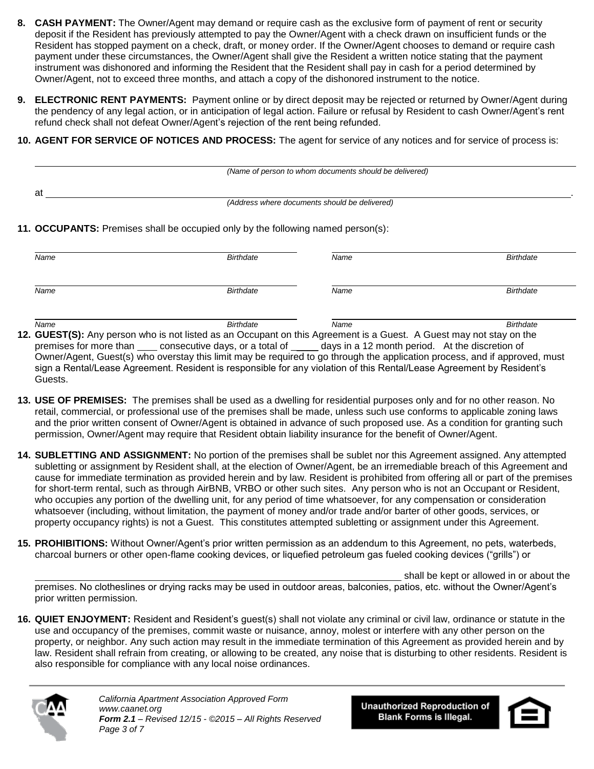- **8. CASH PAYMENT:** The Owner/Agent may demand or require cash as the exclusive form of payment of rent or security deposit if the Resident has previously attempted to pay the Owner/Agent with a check drawn on insufficient funds or the Resident has stopped payment on a check, draft, or money order. If the Owner/Agent chooses to demand or require cash payment under these circumstances, the Owner/Agent shall give the Resident a written notice stating that the payment instrument was dishonored and informing the Resident that the Resident shall pay in cash for a period determined by Owner/Agent, not to exceed three months, and attach a copy of the dishonored instrument to the notice.
- **9. ELECTRONIC RENT PAYMENTS:** Payment online or by direct deposit may be rejected or returned by Owner/Agent during the pendency of any legal action, or in anticipation of legal action. Failure or refusal by Resident to cash Owner/Agent's rent refund check shall not defeat Owner/Agent's rejection of the rent being refunded.
- **10. AGENT FOR SERVICE OF NOTICES AND PROCESS:** The agent for service of any notices and for service of process is:

|    | (Name of person to whom documents should be delivered) |  |
|----|--------------------------------------------------------|--|
| at |                                                        |  |
|    | (Address where documents should be delivered)          |  |

**11. OCCUPANTS:** Premises shall be occupied only by the following named person(s):

| <b>Birthdate</b> | Name | <b>Birthdate</b>                                                                                                    |
|------------------|------|---------------------------------------------------------------------------------------------------------------------|
| <b>Birthdate</b> | Name | <b>Birthdate</b>                                                                                                    |
|                  |      | 12. GUEST(S): Any person who is not listed as an Occupant on this Agreement is a Guest. A Guest may not stay on the |

premises for more than <u>consecutive days, or a total of come</u> days in a 12 month period. At the discretion of Owner/Agent, Guest(s) who overstay this limit may be required to go through the application process, and if approved, must sign a Rental/Lease Agreement. Resident is responsible for any violation of this Rental/Lease Agreement by Resident's Guests.

- **13. USE OF PREMISES:** The premises shall be used as a dwelling for residential purposes only and for no other reason. No retail, commercial, or professional use of the premises shall be made, unless such use conforms to applicable zoning laws and the prior written consent of Owner/Agent is obtained in advance of such proposed use. As a condition for granting such permission, Owner/Agent may require that Resident obtain liability insurance for the benefit of Owner/Agent.
- **14. SUBLETTING AND ASSIGNMENT:** No portion of the premises shall be sublet nor this Agreement assigned. Any attempted subletting or assignment by Resident shall, at the election of Owner/Agent, be an irremediable breach of this Agreement and cause for immediate termination as provided herein and by law. Resident is prohibited from offering all or part of the premises for short-term rental, such as through AirBNB, VRBO or other such sites. Any person who is not an Occupant or Resident, who occupies any portion of the dwelling unit, for any period of time whatsoever, for any compensation or consideration whatsoever (including, without limitation, the payment of money and/or trade and/or barter of other goods, services, or property occupancy rights) is not a Guest. This constitutes attempted subletting or assignment under this Agreement.
- **15. PROHIBITIONS:** Without Owner/Agent's prior written permission as an addendum to this Agreement, no pets, waterbeds, charcoal burners or other open-flame cooking devices, or liquefied petroleum gas fueled cooking devices ("grills") or

shall be kept or allowed in or about the premises. No clotheslines or drying racks may be used in outdoor areas, balconies, patios, etc. without the Owner/Agent's prior written permission.

**16. QUIET ENJOYMENT:** Resident and Resident's guest(s) shall not violate any criminal or civil law, ordinance or statute in the use and occupancy of the premises, commit waste or nuisance, annoy, molest or interfere with any other person on the property, or neighbor. Any such action may result in the immediate termination of this Agreement as provided herein and by law. Resident shall refrain from creating, or allowing to be created, any noise that is disturbing to other residents. Resident is also responsible for compliance with any local noise ordinances.



*California Apartment Association Approved Form www.caanet.org Form 2.1 – Revised 12/15 - ©2015 – All Rights Reserved Page 3 of 7*

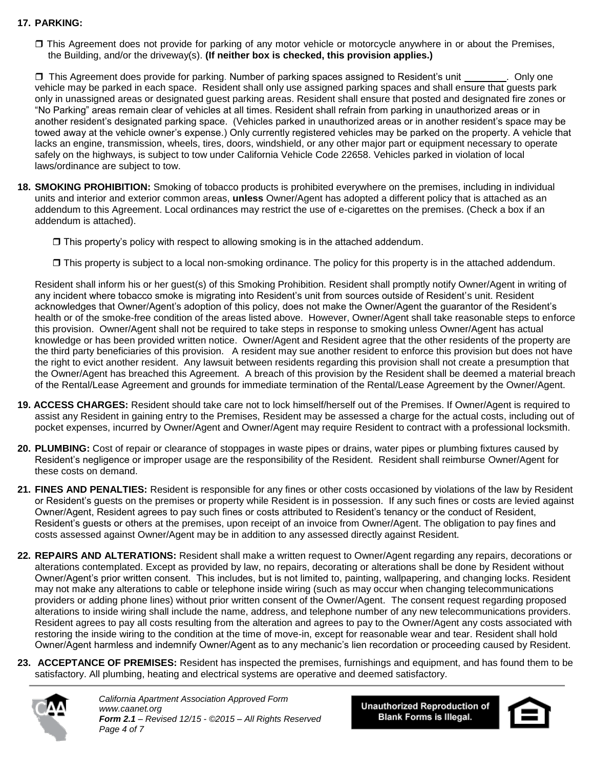## **17. PARKING:**

 This Agreement does not provide for parking of any motor vehicle or motorcycle anywhere in or about the Premises, the Building, and/or the driveway(s). **(If neither box is checked, this provision applies.)**

□ This Agreement does provide for parking. Number of parking spaces assigned to Resident's unit \_\_\_\_\_\_\_\_. Only one vehicle may be parked in each space. Resident shall only use assigned parking spaces and shall ensure that guests park only in unassigned areas or designated guest parking areas. Resident shall ensure that posted and designated fire zones or "No Parking" areas remain clear of vehicles at all times. Resident shall refrain from parking in unauthorized areas or in another resident's designated parking space. (Vehicles parked in unauthorized areas or in another resident's space may be towed away at the vehicle owner's expense.) Only currently registered vehicles may be parked on the property. A vehicle that lacks an engine, transmission, wheels, tires, doors, windshield, or any other major part or equipment necessary to operate safely on the highways, is subject to tow under California Vehicle Code 22658. Vehicles parked in violation of local laws/ordinance are subject to tow.

**18. SMOKING PROHIBITION:** Smoking of tobacco products is prohibited everywhere on the premises, including in individual units and interior and exterior common areas, **unless** Owner/Agent has adopted a different policy that is attached as an addendum to this Agreement. Local ordinances may restrict the use of e-cigarettes on the premises. (Check a box if an addendum is attached).

 $\Box$  This property's policy with respect to allowing smoking is in the attached addendum.

 $\Box$  This property is subject to a local non-smoking ordinance. The policy for this property is in the attached addendum.

Resident shall inform his or her guest(s) of this Smoking Prohibition. Resident shall promptly notify Owner/Agent in writing of any incident where tobacco smoke is migrating into Resident's unit from sources outside of Resident's unit. Resident acknowledges that Owner/Agent's adoption of this policy, does not make the Owner/Agent the guarantor of the Resident's health or of the smoke-free condition of the areas listed above. However, Owner/Agent shall take reasonable steps to enforce this provision. Owner/Agent shall not be required to take steps in response to smoking unless Owner/Agent has actual knowledge or has been provided written notice.Owner/Agent and Resident agree that the other residents of the property are the third party beneficiaries of this provision. A resident may sue another resident to enforce this provision but does not have the right to evict another resident. Any lawsuit between residents regarding this provision shall not create a presumption that the Owner/Agent has breached this Agreement. A breach of this provision by the Resident shall be deemed a material breach of the Rental/Lease Agreement and grounds for immediate termination of the Rental/Lease Agreement by the Owner/Agent.

- **19. ACCESS CHARGES:** Resident should take care not to lock himself/herself out of the Premises. If Owner/Agent is required to assist any Resident in gaining entry to the Premises, Resident may be assessed a charge for the actual costs, including out of pocket expenses, incurred by Owner/Agent and Owner/Agent may require Resident to contract with a professional locksmith.
- **20. PLUMBING:** Cost of repair or clearance of stoppages in waste pipes or drains, water pipes or plumbing fixtures caused by Resident's negligence or improper usage are the responsibility of the Resident. Resident shall reimburse Owner/Agent for these costs on demand.
- **21. FINES AND PENALTIES:** Resident is responsible for any fines or other costs occasioned by violations of the law by Resident or Resident's guests on the premises or property while Resident is in possession. If any such fines or costs are levied against Owner/Agent, Resident agrees to pay such fines or costs attributed to Resident's tenancy or the conduct of Resident, Resident's guests or others at the premises, upon receipt of an invoice from Owner/Agent. The obligation to pay fines and costs assessed against Owner/Agent may be in addition to any assessed directly against Resident.
- **22. REPAIRS AND ALTERATIONS:** Resident shall make a written request to Owner/Agent regarding any repairs, decorations or alterations contemplated. Except as provided by law, no repairs, decorating or alterations shall be done by Resident without Owner/Agent's prior written consent. This includes, but is not limited to, painting, wallpapering, and changing locks. Resident may not make any alterations to cable or telephone inside wiring (such as may occur when changing telecommunications providers or adding phone lines) without prior written consent of the Owner/Agent. The consent request regarding proposed alterations to inside wiring shall include the name, address, and telephone number of any new telecommunications providers. Resident agrees to pay all costs resulting from the alteration and agrees to pay to the Owner/Agent any costs associated with restoring the inside wiring to the condition at the time of move-in, except for reasonable wear and tear. Resident shall hold Owner/Agent harmless and indemnify Owner/Agent as to any mechanic's lien recordation or proceeding caused by Resident.
- **23. ACCEPTANCE OF PREMISES:** Resident has inspected the premises, furnishings and equipment, and has found them to be satisfactory. All plumbing, heating and electrical systems are operative and deemed satisfactory.



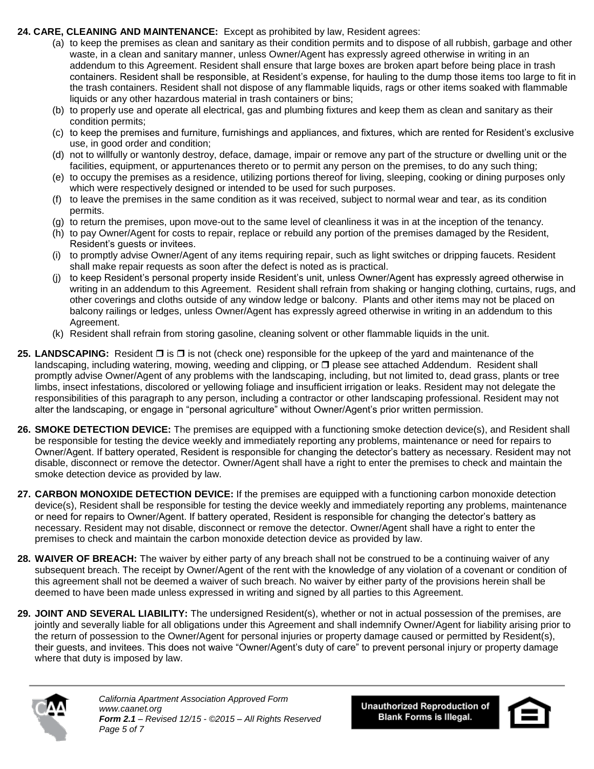## **24. CARE, CLEANING AND MAINTENANCE:** Except as prohibited by law, Resident agrees:

- (a) to keep the premises as clean and sanitary as their condition permits and to dispose of all rubbish, garbage and other waste, in a clean and sanitary manner, unless Owner/Agent has expressly agreed otherwise in writing in an addendum to this Agreement. Resident shall ensure that large boxes are broken apart before being place in trash containers. Resident shall be responsible, at Resident's expense, for hauling to the dump those items too large to fit in the trash containers. Resident shall not dispose of any flammable liquids, rags or other items soaked with flammable liquids or any other hazardous material in trash containers or bins;
- (b) to properly use and operate all electrical, gas and plumbing fixtures and keep them as clean and sanitary as their condition permits;
- (c) to keep the premises and furniture, furnishings and appliances, and fixtures, which are rented for Resident's exclusive use, in good order and condition;
- (d) not to willfully or wantonly destroy, deface, damage, impair or remove any part of the structure or dwelling unit or the facilities, equipment, or appurtenances thereto or to permit any person on the premises, to do any such thing;
- (e) to occupy the premises as a residence, utilizing portions thereof for living, sleeping, cooking or dining purposes only which were respectively designed or intended to be used for such purposes.
- (f) to leave the premises in the same condition as it was received, subject to normal wear and tear, as its condition permits.
- (g) to return the premises, upon move-out to the same level of cleanliness it was in at the inception of the tenancy.
- (h) to pay Owner/Agent for costs to repair, replace or rebuild any portion of the premises damaged by the Resident, Resident's guests or invitees.
- (i) to promptly advise Owner/Agent of any items requiring repair, such as light switches or dripping faucets. Resident shall make repair requests as soon after the defect is noted as is practical.
- (j) to keep Resident's personal property inside Resident's unit, unless Owner/Agent has expressly agreed otherwise in writing in an addendum to this Agreement. Resident shall refrain from shaking or hanging clothing, curtains, rugs, and other coverings and cloths outside of any window ledge or balcony. Plants and other items may not be placed on balcony railings or ledges, unless Owner/Agent has expressly agreed otherwise in writing in an addendum to this Agreement.
- (k) Resident shall refrain from storing gasoline, cleaning solvent or other flammable liquids in the unit.
- **25. LANDSCAPING:** Resident □ is □ is not (check one) responsible for the upkeep of the yard and maintenance of the landscaping, including watering, mowing, weeding and clipping, or  $\Box$  please see attached Addendum. Resident shall promptly advise Owner/Agent of any problems with the landscaping, including, but not limited to, dead grass, plants or tree limbs, insect infestations, discolored or yellowing foliage and insufficient irrigation or leaks. Resident may not delegate the responsibilities of this paragraph to any person, including a contractor or other landscaping professional. Resident may not alter the landscaping, or engage in "personal agriculture" without Owner/Agent's prior written permission.
- **26. SMOKE DETECTION DEVICE:** The premises are equipped with a functioning smoke detection device(s), and Resident shall be responsible for testing the device weekly and immediately reporting any problems, maintenance or need for repairs to Owner/Agent. If battery operated, Resident is responsible for changing the detector's battery as necessary. Resident may not disable, disconnect or remove the detector. Owner/Agent shall have a right to enter the premises to check and maintain the smoke detection device as provided by law.
- **27. CARBON MONOXIDE DETECTION DEVICE:** If the premises are equipped with a functioning carbon monoxide detection device(s), Resident shall be responsible for testing the device weekly and immediately reporting any problems, maintenance or need for repairs to Owner/Agent. If battery operated, Resident is responsible for changing the detector's battery as necessary. Resident may not disable, disconnect or remove the detector. Owner/Agent shall have a right to enter the premises to check and maintain the carbon monoxide detection device as provided by law.
- **28. WAIVER OF BREACH:** The waiver by either party of any breach shall not be construed to be a continuing waiver of any subsequent breach. The receipt by Owner/Agent of the rent with the knowledge of any violation of a covenant or condition of this agreement shall not be deemed a waiver of such breach. No waiver by either party of the provisions herein shall be deemed to have been made unless expressed in writing and signed by all parties to this Agreement.
- **29. JOINT AND SEVERAL LIABILITY:** The undersigned Resident(s), whether or not in actual possession of the premises, are jointly and severally liable for all obligations under this Agreement and shall indemnify Owner/Agent for liability arising prior to the return of possession to the Owner/Agent for personal injuries or property damage caused or permitted by Resident(s), their guests, and invitees. This does not waive "Owner/Agent's duty of care" to prevent personal injury or property damage where that duty is imposed by law.



*California Apartment Association Approved Form www.caanet.org Form 2.1 – Revised 12/15 - ©2015 – All Rights Reserved Page 5 of 7*

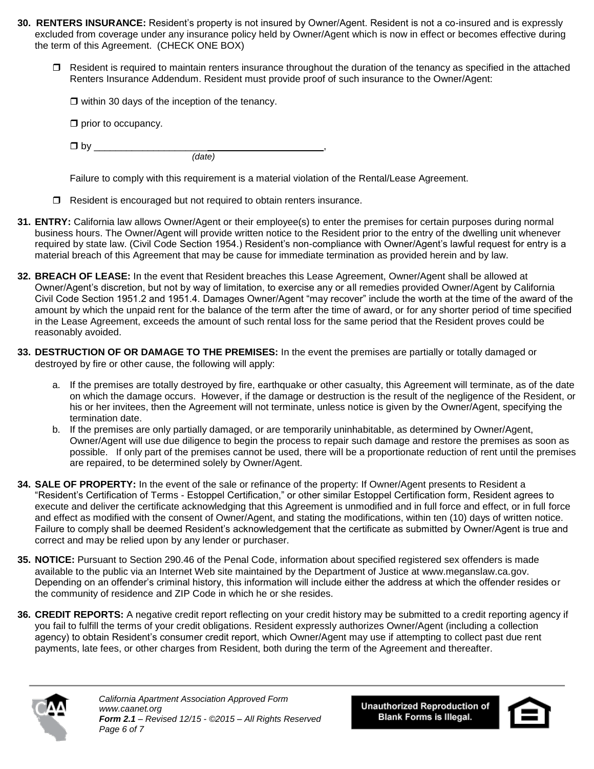- **30. RENTERS INSURANCE:** Resident's property is not insured by Owner/Agent. Resident is not a co-insured and is expressly excluded from coverage under any insurance policy held by Owner/Agent which is now in effect or becomes effective during the term of this Agreement. (CHECK ONE BOX)
	- $\Box$  Resident is required to maintain renters insurance throughout the duration of the tenancy as specified in the attached Renters Insurance Addendum. Resident must provide proof of such insurance to the Owner/Agent:

 $\Box$  within 30 days of the inception of the tenancy.

 $\square$  prior to occupancy.

 $\Box$  by  $\Box$ *(date)* 

Failure to comply with this requirement is a material violation of the Rental/Lease Agreement.

- $\Box$  Resident is encouraged but not required to obtain renters insurance.
- **31. ENTRY:** California law allows Owner/Agent or their employee(s) to enter the premises for certain purposes during normal business hours. The Owner/Agent will provide written notice to the Resident prior to the entry of the dwelling unit whenever required by state law. (Civil Code Section 1954.) Resident's non-compliance with Owner/Agent's lawful request for entry is a material breach of this Agreement that may be cause for immediate termination as provided herein and by law.
- **32. BREACH OF LEASE:** In the event that Resident breaches this Lease Agreement, Owner/Agent shall be allowed at Owner/Agent's discretion, but not by way of limitation, to exercise any or all remedies provided Owner/Agent by California Civil Code Section 1951.2 and 1951.4. Damages Owner/Agent "may recover" include the worth at the time of the award of the amount by which the unpaid rent for the balance of the term after the time of award, or for any shorter period of time specified in the Lease Agreement, exceeds the amount of such rental loss for the same period that the Resident proves could be reasonably avoided.
- **33. DESTRUCTION OF OR DAMAGE TO THE PREMISES:** In the event the premises are partially or totally damaged or destroyed by fire or other cause, the following will apply:
	- a. If the premises are totally destroyed by fire, earthquake or other casualty, this Agreement will terminate, as of the date on which the damage occurs. However, if the damage or destruction is the result of the negligence of the Resident, or his or her invitees, then the Agreement will not terminate, unless notice is given by the Owner/Agent, specifying the termination date.
	- b. If the premises are only partially damaged, or are temporarily uninhabitable, as determined by Owner/Agent, Owner/Agent will use due diligence to begin the process to repair such damage and restore the premises as soon as possible. If only part of the premises cannot be used, there will be a proportionate reduction of rent until the premises are repaired, to be determined solely by Owner/Agent.
- **34. SALE OF PROPERTY:** In the event of the sale or refinance of the property: If Owner/Agent presents to Resident a "Resident's Certification of Terms - Estoppel Certification," or other similar Estoppel Certification form, Resident agrees to execute and deliver the certificate acknowledging that this Agreement is unmodified and in full force and effect, or in full force and effect as modified with the consent of Owner/Agent, and stating the modifications, within ten (10) days of written notice. Failure to comply shall be deemed Resident's acknowledgement that the certificate as submitted by Owner/Agent is true and correct and may be relied upon by any lender or purchaser.
- **35. NOTICE:** Pursuant to Section 290.46 of the Penal Code, information about specified registered sex offenders is made available to the public via an Internet Web site maintained by the Department of Justice at www.meganslaw.ca.gov. Depending on an offender's criminal history, this information will include either the address at which the offender resides or the community of residence and ZIP Code in which he or she resides.
- **36. CREDIT REPORTS:** A negative credit report reflecting on your credit history may be submitted to a credit reporting agency if you fail to fulfill the terms of your credit obligations. Resident expressly authorizes Owner/Agent (including a collection agency) to obtain Resident's consumer credit report, which Owner/Agent may use if attempting to collect past due rent payments, late fees, or other charges from Resident, both during the term of the Agreement and thereafter.



*California Apartment Association Approved Form www.caanet.org Form 2.1 – Revised 12/15 - ©2015 – All Rights Reserved Page 6 of 7*